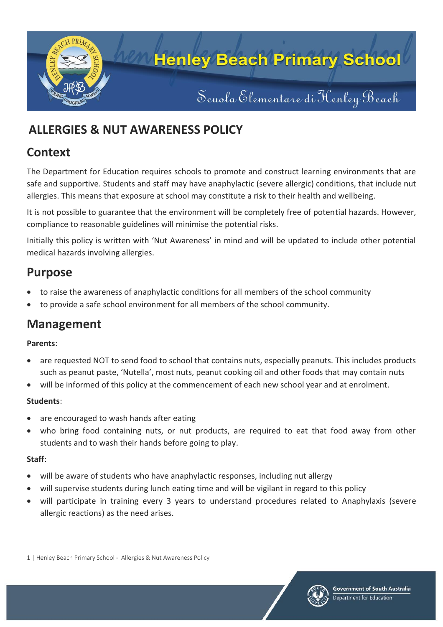

# **ALLERGIES & NUT AWARENESS POLICY**

## **Context**

The Department for Education requires schools to promote and construct learning environments that are safe and supportive. Students and staff may have anaphylactic (severe allergic) conditions, that include nut allergies. This means that exposure at school may constitute a risk to their health and wellbeing.

It is not possible to guarantee that the environment will be completely free of potential hazards. However, compliance to reasonable guidelines will minimise the potential risks.

Initially this policy is written with 'Nut Awareness' in mind and will be updated to include other potential medical hazards involving allergies.

### **Purpose**

- to raise the awareness of anaphylactic conditions for all members of the school community
- to provide a safe school environment for all members of the school community.

## **Management**

### **Parents**:

- are requested NOT to send food to school that contains nuts, especially peanuts. This includes products such as peanut paste, 'Nutella', most nuts, peanut cooking oil and other foods that may contain nuts
- will be informed of this policy at the commencement of each new school year and at enrolment.

### **Students**:

- are encouraged to wash hands after eating
- who bring food containing nuts, or nut products, are required to eat that food away from other students and to wash their hands before going to play.

#### **Staff**:

- will be aware of students who have anaphylactic responses, including nut allergy
- will supervise students during lunch eating time and will be vigilant in regard to this policy
- will participate in training every 3 years to understand procedures related to Anaphylaxis (severe allergic reactions) as the need arises.